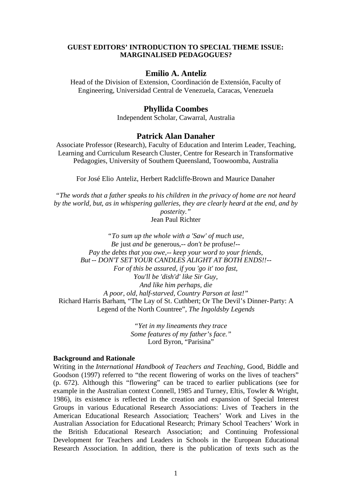### **GUEST EDITORS' INTRODUCTION TO SPECIAL THEME ISSUE: MARGINALISED PEDAGOGUES?**

### **Emilio A. Anteliz**

Head of the Division of Extension, Coordinación de Extensión, Faculty of Engineering, Universidad Central de Venezuela, Caracas, Venezuela

# **Phyllida Coombes**

Independent Scholar, Cawarral, Australia

# **Patrick Alan Danaher**

Associate Professor (Research), Faculty of Education and Interim Leader, Teaching, Learning and Curriculum Research Cluster, Centre for Research in Transformative Pedagogies, University of Southern Queensland, Toowoomba, Australia

For José Elio Anteliz, Herbert Radcliffe-Brown and Maurice Danaher

*"The words that a father speaks to his children in the privacy of home are not heard by the world, but, as in whispering galleries, they are clearly heard at the end, and by*

*posterity."* Jean Paul Richter

*"To sum up the whole with a 'Saw' of much use, Be* just *and be* generous*,-- don't be* profuse*!-- Pay the debts that you owe,-- keep your word to your friends, But -- DON'T SET YOUR CANDLES ALIGHT AT BOTH ENDS!!-- For of this be assured, if you 'go it' too fast, You'll be 'dish'd' like Sir Guy, And like him perhaps, die A poor, old, half-starved, Country Parson at last!"* Richard Harris Barham, "The Lay of St. Cuthbert; Or The Devil's Dinner-Party: A Legend of the North Countree", *The Ingoldsby Legends*

> *"Yet in my lineaments they trace Some features of my father's face."* Lord Byron, "Parisina"

#### **Background and Rationale**

Writing in the *International Handbook of Teachers and Teaching*, Good, Biddle and Goodson (1997) referred to "the recent flowering of works on the lives of teachers" (p. 672). Although this "flowering" can be traced to earlier publications (see for example in the Australian context Connell, 1985 and Turney, Eltis, Towler & Wright, 1986), its existence is reflected in the creation and expansion of Special Interest Groups in various Educational Research Associations: Lives of Teachers in the American Educational Research Association; Teachers' Work and Lives in the Australian Association for Educational Research; Primary School Teachers' Work in the British Educational Research Association; and Continuing Professional Development for Teachers and Leaders in Schools in the European Educational Research Association. In addition, there is the publication of texts such as the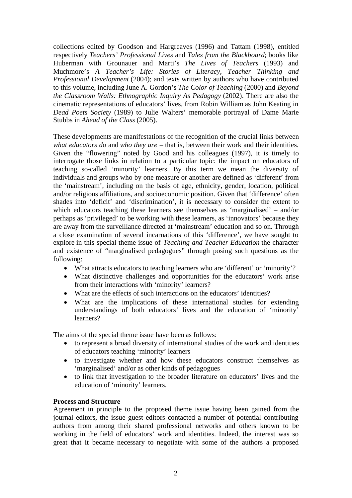collections edited by Goodson and Hargreaves (1996) and Tattam (1998), entitled respectively *Teachers' Professional Lives* and *Tales from the Blackboard*; books like Huberman with Grounauer and Marti's *The Lives of Teachers* (1993) and Muchmore's *A Teacher's Life: Stories of Literacy, Teacher Thinking and Professional Development* (2004); and texts written by authors who have contributed to this volume, including June A. Gordon's *The Color of Teaching* (2000) and *Beyond the Classroom Walls: Ethnographic Inquiry As Pedagogy* (2002). There are also the cinematic representations of educators' lives, from Robin William as John Keating in *Dead Poets Society* (1989) to Julie Walters' memorable portrayal of Dame Marie Stubbs in *Ahead of the Class* (2005).

These developments are manifestations of the recognition of the crucial links between *what educators do* and *who they are* – that is, between their work and their identities. Given the "flowering" noted by Good and his colleagues (1997), it is timely to interrogate those links in relation to a particular topic: the impact on educators of teaching so-called 'minority' learners. By this term we mean the diversity of individuals and groups who by one measure or another are defined as 'different' from the 'mainstream', including on the basis of age, ethnicity, gender, location, political and/or religious affiliations, and socioeconomic position. Given that 'difference' often shades into 'deficit' and 'discrimination', it is necessary to consider the extent to which educators teaching these learners see themselves as 'marginalised' – and/or perhaps as 'privileged' to be working with these learners, as 'innovators' because they are away from the surveillance directed at 'mainstream' education and so on. Through a close examination of several incarnations of this 'difference', we have sought to explore in this special theme issue of *Teaching and Teacher Education* the character and existence of "marginalised pedagogues" through posing such questions as the following:

- What attracts educators to teaching learners who are 'different' or 'minority'?
- What distinctive challenges and opportunities for the educators' work arise from their interactions with 'minority' learners?
- What are the effects of such interactions on the educators' identities?
- What are the implications of these international studies for extending understandings of both educators' lives and the education of 'minority' learners?

The aims of the special theme issue have been as follows:

- to represent a broad diversity of international studies of the work and identities of educators teaching 'minority' learners
- to investigate whether and how these educators construct themselves as 'marginalised' and/or as other kinds of pedagogues
- to link that investigation to the broader literature on educators' lives and the education of 'minority' learners.

### **Process and Structure**

Agreement in principle to the proposed theme issue having been gained from the journal editors, the issue guest editors contacted a number of potential contributing authors from among their shared professional networks and others known to be working in the field of educators' work and identities. Indeed, the interest was so great that it became necessary to negotiate with some of the authors a proposed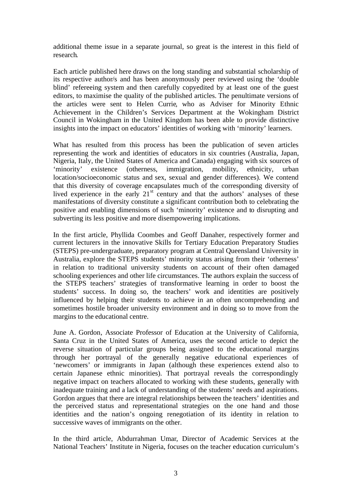additional theme issue in a separate journal, so great is the interest in this field of research.

Each article published here draws on the long standing and substantial scholarship of its respective author/s and has been anonymously peer reviewed using the 'double blind' refereeing system and then carefully copyedited by at least one of the guest editors, to maximise the quality of the published articles. The penultimate versions of the articles were sent to Helen Currie, who as Adviser for Minority Ethnic Achievement in the Children's Services Department at the Wokingham District Council in Wokingham in the United Kingdom has been able to provide distinctive insights into the impact on educators' identities of working with 'minority' learners.

What has resulted from this process has been the publication of seven articles representing the work and identities of educators in six countries (Australia, Japan, Nigeria, Italy, the United States of America and Canada) engaging with six sources of 'minority' existence (otherness, immigration, mobility, ethnicity, urban location/socioeconomic status and sex, sexual and gender differences). We contend that this diversity of coverage encapsulates much of the corresponding diversity of lived experience in the early  $21<sup>st</sup>$  century and that the authors' analyses of these manifestations of diversity constitute a significant contribution both to celebrating the positive and enabling dimensions of such 'minority' existence and to disrupting and subverting its less positive and more disempowering implications.

In the first article, Phyllida Coombes and Geoff Danaher, respectively former and current lecturers in the innovative Skills for Tertiary Education Preparatory Studies (STEPS) pre-undergraduate, preparatory program at Central Queensland University in Australia, explore the STEPS students' minority status arising from their 'otherness' in relation to traditional university students on account of their often damaged schooling experiences and other life circumstances. The authors explain the success of the STEPS teachers' strategies of transformative learning in order to boost the students' success. In doing so, the teachers' work and identities are positively influenced by helping their students to achieve in an often uncomprehending and sometimes hostile broader university environment and in doing so to move from the margins to the educational centre.

June A. Gordon, Associate Professor of Education at the University of California, Santa Cruz in the United States of America, uses the second article to depict the reverse situation of particular groups being assigned to the educational margins through her portrayal of the generally negative educational experiences of 'newcomers' or immigrants in Japan (although these experiences extend also to certain Japanese ethnic minorities). That portrayal reveals the correspondingly negative impact on teachers allocated to working with these students, generally with inadequate training and a lack of understanding of the students' needs and aspirations. Gordon argues that there are integral relationships between the teachers' identities and the perceived status and representational strategies on the one hand and those identities and the nation's ongoing renegotiation of its identity in relation to successive waves of immigrants on the other.

In the third article, Abdurrahman Umar, Director of Academic Services at the National Teachers' Institute in Nigeria, focuses on the teacher education curriculum's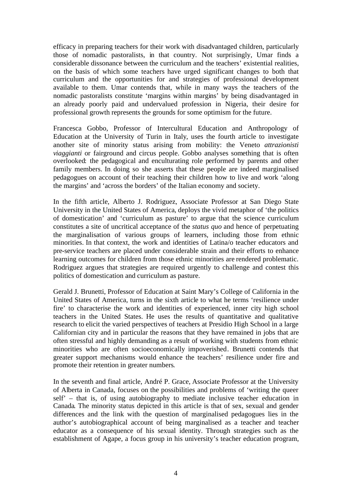efficacy in preparing teachers for their work with disadvantaged children, particularly those of nomadic pastoralists, in that country. Not surprisingly, Umar finds a considerable dissonance between the curriculum and the teachers' existential realities, on the basis of which some teachers have urged significant changes to both that curriculum and the opportunities for and strategies of professional development available to them. Umar contends that, while in many ways the teachers of the nomadic pastoralists constitute 'margins within margins' by being disadvantaged in an already poorly paid and undervalued profession in Nigeria, their desire for professional growth represents the grounds for some optimism for the future.

Francesca Gobbo, Professor of Intercultural Education and Anthropology of Education at the University of Turin in Italy, uses the fourth article to investigate another site of minority status arising from mobility: the Veneto *attrazionisti viaggianti* or fairground and circus people. Gobbo analyses something that is often overlooked: the pedagogical and enculturating role performed by parents and other family members. In doing so she asserts that these people are indeed marginalised pedagogues on account of their teaching their children how to live and work 'along the margins' and 'across the borders' of the Italian economy and society.

In the fifth article, Alberto J. Rodriguez, Associate Professor at San Diego State University in the United States of America, deploys the vivid metaphor of 'the politics of domestication' and 'curriculum as pasture' to argue that the science curriculum constitutes a site of uncritical acceptance of the *status quo* and hence of perpetuating the marginalisation of various groups of learners, including those from ethnic minorities. In that context, the work and identities of Latina/o teacher educators and pre-service teachers are placed under considerable strain and their efforts to enhance learning outcomes for children from those ethnic minorities are rendered problematic. Rodriguez argues that strategies are required urgently to challenge and contest this politics of domestication and curriculum as pasture.

Gerald J. Brunetti, Professor of Education at Saint Mary's College of California in the United States of America, turns in the sixth article to what he terms 'resilience under fire' to characterise the work and identities of experienced, inner city high school teachers in the United States. He uses the results of quantitative and qualitative research to elicit the varied perspectives of teachers at Presidio High School in a large Californian city and in particular the reasons that they have remained in jobs that are often stressful and highly demanding as a result of working with students from ethnic minorities who are often socioeconomically impoverished. Brunetti contends that greater support mechanisms would enhance the teachers' resilience under fire and promote their retention in greater numbers.

In the seventh and final article, André P. Grace, Associate Professor at the University of Alberta in Canada, focuses on the possibilities and problems of 'writing the queer self' – that is, of using autobiography to mediate inclusive teacher education in Canada. The minority status depicted in this article is that of sex, sexual and gender differences and the link with the question of marginalised pedagogues lies in the author's autobiographical account of being marginalised as a teacher and teacher educator as a consequence of his sexual identity. Through strategies such as the establishment of Agape, a focus group in his university's teacher education program,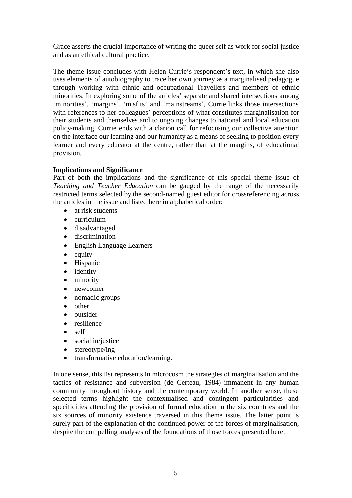Grace asserts the crucial importance of writing the queer self as work for social justice and as an ethical cultural practice.

The theme issue concludes with Helen Currie's respondent's text, in which she also uses elements of autobiography to trace her own journey as a marginalised pedagogue through working with ethnic and occupational Travellers and members of ethnic minorities. In exploring some of the articles' separate and shared intersections among 'minorities', 'margins', 'misfits' and 'mainstreams', Currie links those intersections with references to her colleagues' perceptions of what constitutes marginalisation for their students and themselves and to ongoing changes to national and local education policy-making. Currie ends with a clarion call for refocusing our collective attention on the interface our learning and our humanity as a means of seeking to position every learner and every educator at the centre, rather than at the margins, of educational provision.

# **Implications and Significance**

Part of both the implications and the significance of this special theme issue of *Teaching and Teacher Education* can be gauged by the range of the necessarily restricted terms selected by the second-named guest editor for crossreferencing across the articles in the issue and listed here in alphabetical order:

- at risk students
- curriculum
- disadvantaged
- **•** discrimination
- English Language Learners
- $\bullet$  equity
- Hispanic
- identity
- minority
- newcomer
- nomadic groups
- other
- outsider
- resilience
- self
- social in/justice
- $\bullet$  stereotype/ing
- transformative education/learning.

In one sense, this list represents in microcosm the strategies of marginalisation and the tactics of resistance and subversion (de Certeau, 1984) immanent in any human community throughout history and the contemporary world. In another sense, these selected terms highlight the contextualised and contingent particularities and specificities attending the provision of formal education in the six countries and the six sources of minority existence traversed in this theme issue. The latter point is surely part of the explanation of the continued power of the forces of marginalisation, despite the compelling analyses of the foundations of those forces presented here.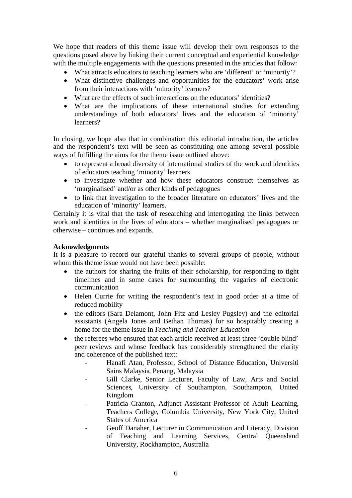We hope that readers of this theme issue will develop their own responses to the questions posed above by linking their current conceptual and experiential knowledge with the multiple engagements with the questions presented in the articles that follow:

- What attracts educators to teaching learners who are 'different' or 'minority'?
- What distinctive challenges and opportunities for the educators' work arise from their interactions with 'minority' learners?
- What are the effects of such interactions on the educators' identities?
- What are the implications of these international studies for extending understandings of both educators' lives and the education of 'minority' learners?

In closing, we hope also that in combination this editorial introduction, the articles and the respondent's text will be seen as constituting one among several possible ways of fulfilling the aims for the theme issue outlined above:

- to represent a broad diversity of international studies of the work and identities of educators teaching 'minority' learners
- to investigate whether and how these educators construct themselves as 'marginalised' and/or as other kinds of pedagogues
- to link that investigation to the broader literature on educators' lives and the education of 'minority' learners.

Certainly it is vital that the task of researching and interrogating the links between work and identities in the lives of educators – whether marginalised pedagogues or otherwise – continues and expands.

## **Acknowledgments**

It is a pleasure to record our grateful thanks to several groups of people, without whom this theme issue would not have been possible:

- the authors for sharing the fruits of their scholarship, for responding to tight timelines and in some cases for surmounting the vagaries of electronic communication
- Helen Currie for writing the respondent's text in good order at a time of reduced mobility
- the editors (Sara Delamont, John Fitz and Lesley Pugsley) and the editorial assistants (Angela Jones and Bethan Thomas) for so hospitably creating a home for the theme issue in *Teaching and Teacher Education*
- the referees who ensured that each article received at least three 'double blind' peer reviews and whose feedback has considerably strengthened the clarity and coherence of the published text:
	- Hanafi Atan, Professor, School of Distance Education, Universiti Sains Malaysia, Penang, Malaysia
	- Gill Clarke, Senior Lecturer, Faculty of Law, Arts and Social Sciences, University of Southampton, Southampton, United Kingdom
	- Patricia Cranton, Adjunct Assistant Professor of Adult Learning, Teachers College, Columbia University, New York City, United States of America
	- Geoff Danaher, Lecturer in Communication and Literacy, Division of Teaching and Learning Services, Central Queensland University, Rockhampton, Australia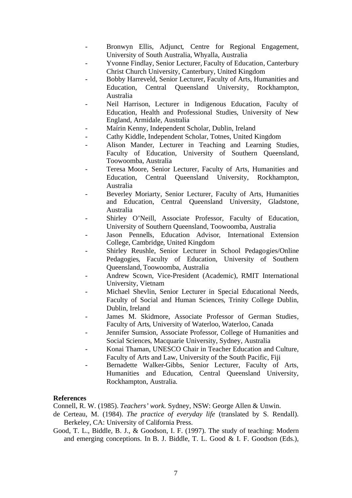- Bronwyn Ellis, Adjunct, Centre for Regional Engagement, University of South Australia, Whyalla, Australia
- Yvonne Findlay, Senior Lecturer, Faculty of Education, Canterbury Christ Church University, Canterbury, United Kingdom
- Bobby Harreveld, Senior Lecturer, Faculty of Arts, Humanities and Education, Central Queensland University, Rockhampton, Australia
- Neil Harrison, Lecturer in Indigenous Education, Faculty of Education, Health and Professional Studies, University of New England, Armidale, Australia
- Maírin Kenny, Independent Scholar, Dublin, Ireland
- Cathy Kiddle, Independent Scholar, Totnes, United Kingdom
- Alison Mander, Lecturer in Teaching and Learning Studies, Faculty of Education, University of Southern Oueensland, Toowoomba, Australia
- Teresa Moore, Senior Lecturer, Faculty of Arts, Humanities and Education, Central Queensland University, Rockhampton, Australia
- Beverley Moriarty, Senior Lecturer, Faculty of Arts, Humanities and Education, Central Queensland University, Gladstone, Australia
- Shirley O'Neill, Associate Professor, Faculty of Education, University of Southern Queensland, Toowoomba, Australia
- Jason Pennells, Education Advisor, International Extension College, Cambridge, United Kingdom
- Shirley Reushle, Senior Lecturer in School Pedagogies/Online Pedagogies, Faculty of Education, University of Southern Queensland, Toowoomba, Australia
- Andrew Scown, Vice-President (Academic), RMIT International University, Vietnam
- Michael Shevlin, Senior Lecturer in Special Educational Needs, Faculty of Social and Human Sciences, Trinity College Dublin, Dublin, Ireland
- James M. Skidmore, Associate Professor of German Studies, Faculty of Arts, University of Waterloo, Waterloo, Canada
- Jennifer Sumsion, Associate Professor, College of Humanities and Social Sciences, Macquarie University, Sydney, Australia
- Konai Thaman, UNESCO Chair in Teacher Education and Culture, Faculty of Arts and Law, University of the South Pacific, Fiji
- Bernadette Walker-Gibbs, Senior Lecturer, Faculty of Arts, Humanities and Education, Central Queensland University, Rockhampton, Australia.

### **References**

Connell, R. W. (1985). *Teachers' work.* Sydney, NSW: George Allen & Unwin.

- de Certeau, M. (1984). *The practice of everyday life* (translated by S. Rendall). Berkeley, CA: University of California Press.
- Good, T. L., Biddle, B. J., & Goodson, I. F. (1997). The study of teaching: Modern and emerging conceptions. In B. J. Biddle, T. L. Good & I. F. Goodson (Eds.),